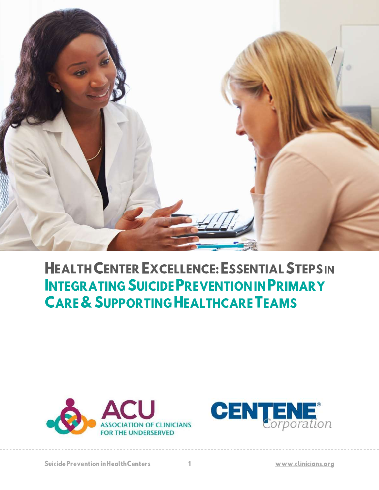

# **HEALTH CENTER EXCELLENCE: ESSENTIAL STEPSIN INTEGRATING SUICIDE PREVENTION IN PRIMARY CARE & SUPPORTING HEALTHCARE TEAMS**



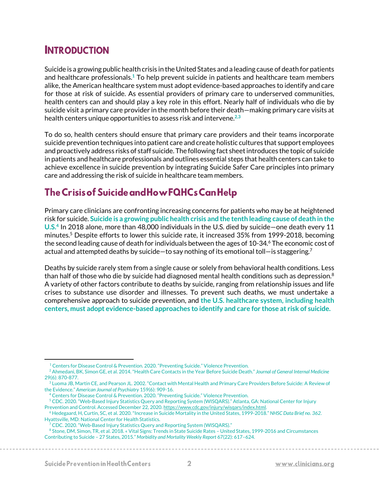# **INTRODUCTION**

Suicide is a growing public health crisis in the United States and a leading cause of death for patients and healthcare professionals. **<sup>1</sup>** To help prevent suicide in patients and healthcare team members alike, the American healthcare system must adopt evidence-based approaches to identify and care for those at risk of suicide. As essential providers of primary care to underserved communities, health centers can and should play a key role in this effort. Nearly half of individuals who die by suicide visit a primary care provider in the month before their death—making primary care visits at health centers unique opportunities to assess risk and intervene. **2,3**

To do so, health centers should ensure that primary care providers and their teams incorporate suicide prevention techniques into patient care and create holistic cultures that support employees and proactively address risks of staff suicide. The following fact sheet introduces the topic of suicide in patients and healthcare professionals and outlines essential steps that health centers can take to achieve excellence in suicide prevention by integrating Suicide Safer Care principles into primary care and addressing the risk of suicide in healthcare team members.

# The Crisis of Suicide and How FQHCs Can Help

Primary care clinicians are confronting increasing concerns for patients who may be at heightened risk for suicide. **Suicide is a growing public health crisis and the tenth leading cause of death in the U.S.<sup>4</sup>** In 2018 alone, more than 48,000 individuals in the U.S. died by suicide—one death every 11 minutes.<sup>5</sup> Despite efforts to lower this suicide rate, it increased 35% from 1999-2018, becoming the second leading cause of death for individuals between the ages of  $10-34<sup>6</sup>$  The economic cost of actual and attempted deaths by suicide-to say nothing of its emotional toll-is staggering.<sup>7</sup>

Deaths by suicide rarely stem from a single cause or solely from behavioral health conditions. Less than half of those who die by suicide had diagnosed mental health conditions such as depression. $8$ A variety of other factors contribute to deaths by suicide, ranging from relationship issues and life crises to substance use disorder and illnesses. To prevent such deaths, we must undertake a comprehensive approach to suicide prevention, and **the U.S. healthcare system, including health centers, must adopt evidence-based approaches to identify and care for those at risk of suicide.**

<sup>1</sup> Centers for Disease Control & Prevention. 2020. "Preventing Suicide." Violence Prevention.

<sup>2</sup> Ahmedani, BK, Simon GE, et al. 2014. "Health Care Contacts in the Year Before Suicide Death." *Journal of General Internal Medicine*  29(6): 870-877.

<sup>&</sup>lt;sup>3</sup> Luoma JB, Martin CE, and Pearson JL. 2002. "Contact with Mental Health and Primary Care Providers Before Suicide: A Review of the Evidence." *American Journal of Psychiatry* 159(6): 909-16.

<sup>&</sup>lt;sup>4</sup> Centers for Disease Control & Prevention. 2020. "Preventing Suicide." Violence Prevention.

<sup>5</sup> CDC. 2020. "Web-Based Injury Statistics Query and Reporting System (WISQARS)." Atlanta, GA: National Center for Injury Prevention and Control. Accessed December 22, 2020[. https://www.cdc.gov/injury/wisqars/index.html.](https://www.cdc.gov/injury/wisqars/index.html)

<sup>6</sup> Hedegaard, H, Curtin, SC, et al. 2020. "Increase in Suicide Mortality in the United States, 1999-2018." *NHSC Data Brief no. 362*. Hyattsville, MD: National Center for Health Statistics.

 $\overline{7}$  CDC. 2020. "Web-Based Injury Statistics Query and Reporting System (WISQARS)."

<sup>8</sup> Stone, DM, Simon, TR, et al. 2018. «Vital Signs: Trends in State Suicide Rates - United States, 1999-2016 and Circumstances Contributing to Suicide – 27 States, 2015." *Morbidity and Mortality Weekly Report* 67(22): 617–624.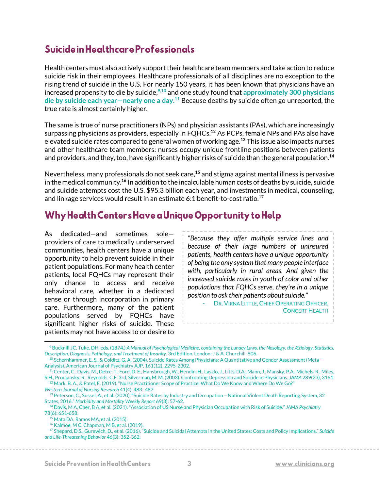### Suicide in Healthcare Professionals

Health centers must also actively support their healthcare team members and take action to reduce suicide risk in their employees. Healthcare professionals of all disciplines are no exception to the rising trend of suicide in the U.S. For nearly 150 years, it has been known that physicians have an increased propensity to die by suicide, **<sup>9</sup>**,**<sup>10</sup>** and one study found that **approximately 300 physicians die by suicide each year—nearly one a day.<sup>11</sup>** Because deaths by suicide often go unreported, the true rate is almost certainly higher.

The same is true of nurse practitioners (NPs) and physician assistants (PAs), which are increasingly surpassing physicians as providers, especially in FQHCs. **<sup>12</sup>** As PCPs, female NPs and PAs also have elevated suicide rates compared to general women of working age.**<sup>13</sup>** This issue also impacts nurses and other healthcare team members: nurses occupy unique frontline positions between patients and providers, and they, too, have significantly higher risks of suicide than the general population. **14**

Nevertheless, many professionals do not seek care, **<sup>15</sup>** and stigma against mental illness is pervasive in the medical community. **<sup>16</sup>** In addition to the incalculable human costs of deaths by suicide, suicide and suicide attempts cost the U.S. \$95.3 billion each year, and investments in medical, counseling, and linkage services would result in an estimate 6:1 benefit-to-cost ratio.<sup>17</sup>

# Why Health Centers Have a Unique Opportunity to Help

As dedicated—and sometimes sole providers of care to medically underserved communities, health centers have a unique opportunity to help prevent suicide in their patient populations. For many health center patients, local FQHCs may represent their only chance to access and receive behavioral care, whether in a dedicated sense or through incorporation in primary care. Furthermore, many of the patient populations served by FQHCs have significant higher risks of suicide. These patients may not have access to or desire to

*"Because they offer multiple service lines and because of their large numbers of uninsured patients, health centers have a unique opportunity of being the only system that many people interface with, particularly in rural areas. And given the increased suicide rates in youth of color and other populations that FQHCs serve, they're in a unique position to ask their patients about suicide."*

DR. VIRNA LITTLE, CHIEF OPERATING OFFICER, CONCERT HEALTH

<sup>9</sup> Bucknill JC, Tuke, DH, eds. (1874.) *A Manual of Psychological Medicine, containing the Lunacy Laws, the Nosology, the Ætiology, Statistics, Description, Diagnosis, Pathology, and Treatment of Insanity.* 3rd Edition. London: J & A. Churchill: 806.

<sup>&</sup>lt;sup>10</sup> Schernhammer, E. S., & Colditz, G. A. (2004). Suicide Rates Among Physicians: A Quantitative and Gender Assessment (Meta-Analysis). American Journal of Psychiatry AJP, 161(12), 2295-2302.

<sup>&</sup>lt;sup>11</sup> Center, C., Davis, M., Detre, T., Ford, D. E., Hansbrough, W., Hendin, H., Laszlo, J., Litts, D.A., Mann, J., Mansky, P.A., Michels, R., Miles, S.H., Proujansky, R., Reynolds, C.F. 3rd, Silverman, M. M. (2003). Confronting Depression and Suicide in Physicians. *JAMA* 289(23), 3161. <sup>12</sup> Mark, B. A., & Patel, E. (2019). "Nurse Practitioner Scope of Practice: What Do We Know and Where Do We Go?"

*Western Journal of Nursing Research* 41(4), 483–487. <sup>13</sup> Peterson, C., Sussel, A., et al. (2020). "Suicide Rates by Industry and Occupation - National Violent Death Reporting System, 32

States, 2016." *Morbidity and Mortality Weekly Report* 69(3): 57-62.

<sup>14</sup> Davis, M A, Cher, B A, et al. (2021). "Association of US Nurse and Physician Occupation with Risk of Suicide." *JAMA Psychiatry*  78(6): 651-658.

<sup>15</sup> Mata DA, Ramos MA, et al. (2015).

<sup>16</sup> Kalmoe, M C, Chapman, M B, et al. (2019).

<sup>17</sup> Shepard, D.S., Gurewich, D., et al. (2016). "Suicide and Suicidal Attempts in the United States: Costs and Policy Implications." *Suicide and Life-Threatening Behavior* 46(3): 352-362.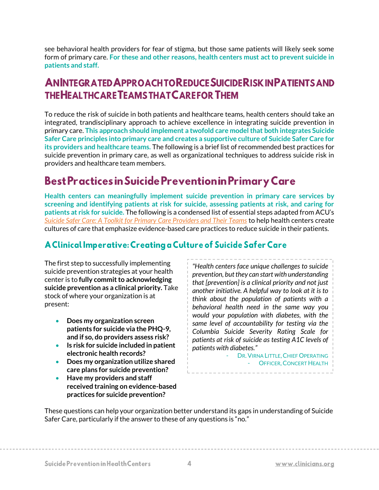see behavioral health providers for fear of stigma, but those same patients will likely seek some form of primary care. **For these and other reasons, health centers must act to prevent suicide in patients and staff.**

# **ANINTEGRATED APPROACH TO REDUCE SUICIDE RISK IN PATIENTS AND THE HEALTHCARE TEAMS THAT CAREFOR THEM**

To reduce the risk of suicide in both patients and healthcare teams, health centers should take an integrated, trandisciplinary approach to achieve excellence in integrating suicide prevention in primary care. **This approach should implement a twofold care model that both integrates Suicide Safer Care principles into primary care and creates a supportive culture of Suicide Safer Care for its providers and healthcare teams.** The following is a brief list of recommended best practices for suicide prevention in primary care, as well as organizational techniques to address suicide risk in providers and healthcare team members.

# **Best Practices in Suicide Prevention in Primary Care**

**Health centers can meaningfully implement suicide prevention in primary care services by screening and identifying patients at risk for suicide, assessing patients at risk, and caring for patients at risk for suicide.** The following is a condensed list of essential steps adapted from ACU's *[Suicide Safer Care: A Toolkit for Primary Care Providers and Their Teams](https://clinicians.org/wp-content/uploads/2020/09/SuicidePreventionGuideNew.pdf)* to help health centers create cultures of care that emphasize evidence-based care practices to reduce suicide in their patients.

#### A Clinical Imperative: Creating a Culture of Suicide Safer Care

The first step to successfully implementing suicide prevention strategies at your health center is to **fully commit to acknowledging suicide prevention as a clinical priority.** Take stock of where your organization is at present:

- **Does my organization screen patients for suicide via the PHQ-9, and if so, do providers assess risk?**
- **Is risk for suicide included in patient electronic health records?**
- **Does my organization utilize shared care plans for suicide prevention?**
- **Have my providers and staff received training on evidence-based practices for suicide prevention?**

*"Health centers face unique challenges to suicide prevention, but they can start with understanding that [prevention] is a clinical priority and not just another initiative. A helpful way to look at it is to think about the population of patients with a behavioral health need in the same way you would your population with diabetes, with the same level of accountability for testing via the Columbia Suicide Severity Rating Scale for patients at risk of suicide as testing A1C levels of patients with diabetes."*

> - DR. VIRNA LITTLE, CHIEF OPERATING - **OFFICER, CONCERT HEALTH**

These questions can help your organization better understand its gaps in understanding of Suicide Safer Care, particularly if the answer to these of any questions is "no."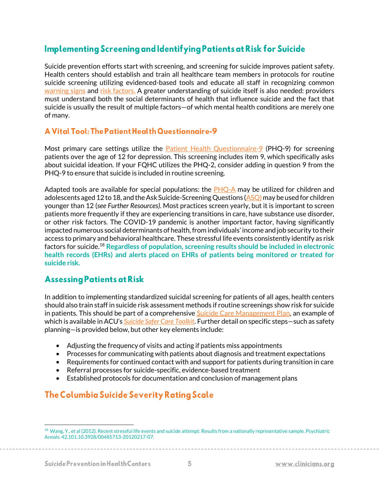#### **Implementing Screening and Identifying Patients at Risk for Suicide**

Suicide prevention efforts start with screening, and screening for suicide improves patient safety. Health centers should establish and train all healthcare team members in protocols for routine suicide screening utilizing evidenced-based tools and educate all staff in recognizing common [warning signs](https://www.apa.org/topics/suicide/signs) and [risk factors.](https://clinicians.org/wp-content/uploads/2020/09/SuicidePreventionGuideNew.pdf) A greater understanding of suicide itself is also needed: providers must understand both the social determinants of health that influence suicide and the fact that suicide is usually the result of multiple factors—of which mental health conditions are merely one of many.

#### A Vital Tool: The Patient Health Questionnaire-9

Most primary care settings utilize the **[Patient Health Questionnaire-9](https://med.stanford.edu/fastlab/research/imapp/msrs/_jcr_content/main/accordion/accordion_content3/download_256324296/file.res/PHQ9%20id%20date%2008.03.pdf)** (PHQ-9) for screening patients over the age of 12 for depression. This screening includes item 9, which specifically asks about suicidal ideation. If your FQHC utilizes the PHQ-2, consider adding in question 9 from the PHQ-9 to ensure that suicide is included in routine screening.

Adapted tools are available for special populations: the  $PHQ-A$  may be utilized for children and adolescents aged 12 to 18, and the Ask Suicide-Screening Questions ( $ASQ$ ) may be used for children younger than 12 (*see Further Resources).* Most practices screen yearly, but it is important to screen patients more frequently if they are experiencing transitions in care, have substance use disorder, or other risk factors. The COVID-19 pandemic is another important factor, having significantly impacted numerous social determinants of health, from individuals' income and job security to their access to primary and behavioral healthcare. These stressful life events consistently identify as risk factors for suicide.<sup>18</sup> **Regardless of population, screening results should be included in electronic health records (EHRs) and alerts placed on EHRs of patients being monitored or treated for suicide risk.**

#### **Assessing Patients at Risk**

In addition to implementing standardized suicidal screening for patients of all ages, health centers should also train staff in suicide risk assessment methods if routine screenings show risk for suicide in patients. This should be part of a comprehensive [Suicide Care Management Plan,](https://zerosuicide.edc.org/toolkit-taxonomy/suicide-care-management-plan) an example of which is available in ACU's *[Suicide Safer Care Toolkit](https://clinicians.org/wp-content/uploads/2020/09/SuicidePreventionGuideNew.pdf)*. Further detail on specific steps—such as safety planning—is provided below, but other key elements include:

- Adjusting the frequency of visits and acting if patients miss appointments
- Processes for communicating with patients about diagnosis and treatment expectations
- Requirements for continued contact with and support for patients during transition in care
- Referral processes for suicide-specific, evidence-based treatment
- Established protocols for documentation and conclusion of management plans

### The Columbia Suicide Severity Rating Scale

<sup>&</sup>lt;sup>18</sup> Wang, Y., et al (2012). Recent stressful life events and suicide attempt: Results from a nationally representative sample. Psychiatric Annals. 42.101.10.3928/00485713-20120217-07.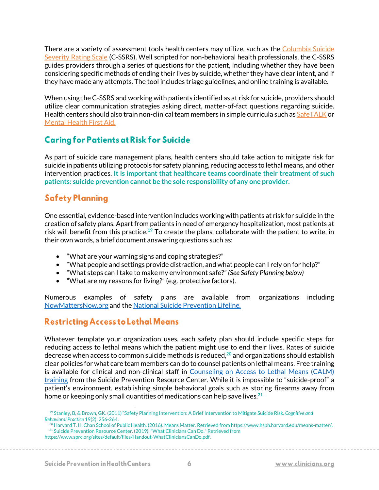There are a variety of assessment tools health centers may utilize, such as the [Columbia](https://www.hrsa.gov/behavioral-health/columbia-suicide-severity-rating-scale-c-ssrs) Suicide [Severity Rating Scale](https://www.hrsa.gov/behavioral-health/columbia-suicide-severity-rating-scale-c-ssrs) (C-SSRS). Well scripted for non-behavioral health professionals, the C-SSRS guides providers through a series of questions for the patient, including whether they have been considering specific methods of ending their lives by suicide, whether they have clear intent, and if they have made any attempts. The tool includes triage guidelines, and online training is available.

When using the C-SSRS and working with patients identified as at risk for suicide, providers should utilize clear communication strategies asking direct, matter-of-fact questions regarding suicide. Health centers should also train non-clinical team members in simple curricula such a[s SafeTALK](https://www.livingworks.net/) or [Mental Health First Aid.](https://www.mentalhealthfirstaid.org/)

### **Caring for Patients at Risk for Suicide**

As part of suicide care management plans, health centers should take action to mitigate risk for suicide in patients utilizing protocols for safety planning, reducing access to lethal means, and other intervention practices. **It is important that healthcare teams coordinate their treatment of such patients: suicide prevention cannot be the sole responsibility of any one provider.**

#### **Safety Planning**

One essential, evidence-based intervention includes working with patients at risk for suicide in the creation of safety plans. Apart from patients in need of emergency hospitalization, most patients at risk will benefit from this practice.**<sup>19</sup>** To create the plans, collaborate with the patient to write, in their own words, a brief document answering questions such as:

- "What are your warning signs and coping strategies?"
- "What people and settings provide distraction, and what people can I rely on for help?"
- "What steps can I take to make my environment safe?" *(See Safety Planning below)*
- "What are my reasons for living?" (e.g. protective factors).

Numerous examples of safety plans are available from organizations including [NowMattersNow.org](https://www.nowmattersnow.org/wp-content/uploads/2018/10/0.-NowMattersNow.org-Safety-Plan-Website-Version.pdf) and th[e National Suicide Prevention Lifeline.](https://suicidepreventionlifeline.org/wp-content/uploads/2016/08/Brown_StanleySafetyPlanTemplate.pdf)

### **Restricting Access to Lethal Means**

Whatever template your organization uses, each safety plan should include specific steps for reducing access to lethal means which the patient might use to end their lives. Rates of suicide decrease when access to common suicide methods is reduced, **<sup>20</sup>** and organizations should establish clear policies for what care team members can do to counsel patients on lethal means. Free training is available for clinical and non-clinical staff in [Counseling on Access to Lethal Means \(CALM\)](https://www.sprc.org/resources-programs/calm-counseling-access-lethal-means)  [training](https://www.sprc.org/resources-programs/calm-counseling-access-lethal-means) from the Suicide Prevention Resource Center. While it is impossible to "suicide-proof" a patient's environment, establishing simple behavioral goals such as storing firearms away from home or keeping only small quantities of medications can help save lives.**<sup>21</sup>**

<sup>19</sup> Stanley, B, & Brown, GK. (2011) "Safety Planning Intervention: A Brief Intervention to Mitigate Suicide Risk. *Cognitive and Behavioral Practice* 19(2): 256-264.

<sup>20</sup> Harvard T. H. Chan School of Public Health. (2016). Means Matter. Retrieved from https://www.hsph.harvard.edu/means-matter/. <sup>21</sup> Suicide Prevention Resource Center. (2019). "What Clinicians Can Do." Retrieved from

https://www.sprc.org/sites/default/files/Handout-WhatCliniciansCanDo.pdf.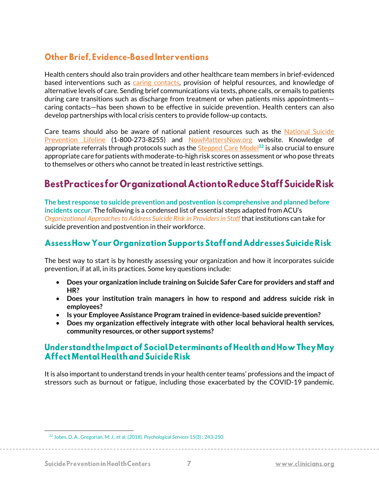#### **Other Brief. Evidence-Based Interventions**

Health centers should also train providers and other healthcare team members in brief-evidenced based interventions such as [caring contacts,](https://www.uwcspar.org/caring-contacts.html) provision of helpful resources, and knowledge of alternative levels of care. Sending brief communications via texts, phone calls, or emails to patients during care transitions such as discharge from treatment or when patients miss appointments caring contacts—has been shown to be effective in suicide prevention. Health centers can also develop partnerships with local crisis centers to provide follow-up contacts.

Care teams should also be aware of national patient resources such as the [National Suicide](https://suicidepreventionlifeline.org/)  [Prevention Lifeline](https://suicidepreventionlifeline.org/) (1-800-273-8255) and [NowMattersNow.org](https://nowmattersnow.org/) website. Knowledge of appropriate referrals through protocols such as th[e Stepped Care Model](https://cams-care.com/wp-content/uploads/2020/05/A_Stepped_Care_Approach_Suicide_prevention.pdf)**<sup>22</sup>** is also crucial to ensure appropriate care for patients with moderate-to-high risk scores on assessment or who pose threats to themselves or others who cannot be treated in least restrictive settings.

# Best Practices for Organizational Action to Reduce Staff Suicide Risk

**The best response to suicide prevention and postvention is comprehensive and planned before incidents occur.** The following is a condensed list of essential steps adapted from ACU's *Organizational Approaches to Address Suicide Risk in Providers in Staff* that institutions can take for suicide prevention and postvention in their workforce.

#### Assess How Your Organization Supports Staff and Addresses Suicide Risk

The best way to start is by honestly assessing your organization and how it incorporates suicide prevention, if at all, in its practices. Some key questions include:

- **Does your organization include training on Suicide Safer Care for providers and staff and HR?**
- **Does your institution train managers in how to respond and address suicide risk in employees?**
- **Is your Employee Assistance Program trained in evidence-based suicide prevention?**
- **Does my organization effectively integrate with other local behavioral health services, community resources, or other support systems?**

#### Understand the Impact of Social Determinants of Health and How They May Affect Mental Health and Suicide Risk

It is also important to understand trends in your health center teams' professions and the impact of stressors such as burnout or fatigue, including those exacerbated by the COVID-19 pandemic.

<sup>22</sup> Jobes, D. A., Gregorian, M. J., et al. (2018). *Psychological Services* 15(3) : 243-250.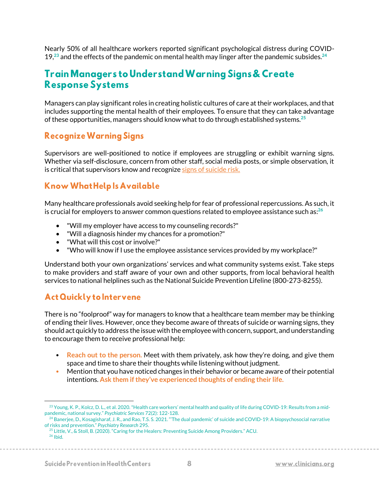Nearly 50% of all healthcare workers reported significant psychological distress during COVID-19, **<sup>23</sup>** and the effects of the pandemic on mental health may linger after the pandemic subsides.**<sup>24</sup>**

### **Train Managers to Understand Warning Signs & Create Response Systems**

Managers can play significant roles in creating holistic cultures of care at their workplaces, and that includes supporting the mental health of their employees. To ensure that they can take advantage of these opportunities, managers should know what to do through established systems.**<sup>25</sup>**

#### **Recognize Warning Signs**

Supervisors are well-positioned to notice if employees are struggling or exhibit warning signs. Whether via self-disclosure, concern from other staff, social media posts, or simple observation, it is critical that supervisors know and recogniz[e signs of suicide risk.](https://www.apa.org/topics/suicide/signs)

#### **Know What Help Is Available**

Many healthcare professionals avoid seeking help for fear of professional repercussions. As such, it is crucial for employers to answer common questions related to employee assistance such as: **26**

- "Will my employer have access to my counseling records?"
- "Will a diagnosis hinder my chances for a promotion?"
- "What will this cost or involve?"
- "Who will know if I use the employee assistance services provided by my workplace?"

Understand both your own organizations' services and what community systems exist. Take steps to make providers and staff aware of your own and other supports, from local behavioral health services to national helplines such as the National Suicide Prevention Lifeline (800-273-8255).

#### **Act Quickly to Intervene**

There is no "foolproof" way for managers to know that a healthcare team member may be thinking of ending their lives. However, once they become aware of threats of suicide or warning signs, they should act quickly to address the issue with the employee with concern, support, and understanding to encourage them to receive professional help:

- **Reach out to the person.** Meet with them privately, ask how they're doing, and give them space and time to share their thoughts while listening without judgment.
- Mention that you have noticed changes in their behavior or became aware of their potential intentions. **Ask them if they've experienced thoughts of ending their life.**

<sup>&</sup>lt;sup>23</sup> Young, K. P., Kolcz, D. L., et al. 2020. "Health care workers' mental health and quality of life during COVID-19: Results from a midpandemic, national survey." *Psychiatric Services* 72(2): 122-128.

<sup>&</sup>lt;sup>24</sup> Banerjee, D., Kosagisharaf, J. R., and Rao, T.S. S. 2021. "The dual pandemic' of suicide and COVID-19: A biopsychosocial narrative of risks and prevention." *Psychiatry Research* 295.

<sup>&</sup>lt;sup>25</sup> Little, V., & Stoll, B. (2020). "Caring for the Healers: Preventing Suicide Among Providers." ACU.

<sup>26</sup> Ibid.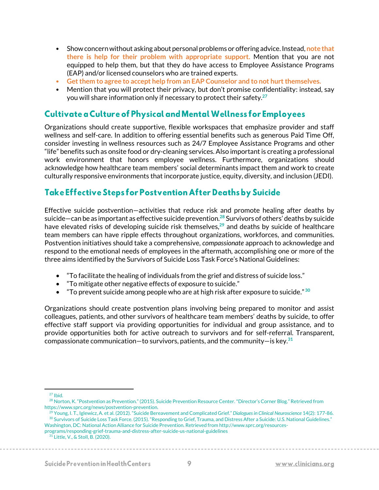- Show concern without asking about personal problems or offering advice. Instead, **note that there is help for their problem with appropriate support.** Mention that you are not equipped to help them, but that they do have access to Employee Assistance Programs (EAP) and/or licensed counselors who are trained experts.
- **Get them to agree to accept help from an EAP Counselor and to not hurt themselves.**
- Mention that you will protect their privacy, but don't promise confidentiality: instead, say you will share information only if necessary to protect their safety.**<sup>27</sup>**

#### **Cultivate a Culture of Physical and Mental Wellness for Employees**

Organizations should create supportive, flexible workspaces that emphasize provider and staff wellness and self-care. In addition to offering essential benefits such as generous Paid Time Off, consider investing in wellness resources such as 24/7 Employee Assistance Programs and other "life" benefits such as onsite food or dry-cleaning services. Also important is creating a professional work environment that honors employee wellness. Furthermore, organizations should acknowledge how healthcare team members' social determinants impact them and work to create culturally responsive environments that incorporate justice, equity, diversity, and inclusion (JEDI).

#### **Take Effective Steps for Postvention After Deaths by Suicide**

Effective suicide postvention—activities that reduce risk and promote healing after deaths by suicide—can be as important as effective suicide prevention.**<sup>28</sup>** Survivors of others' deaths by suicide have elevated risks of developing suicide risk themselves,**<sup>29</sup>** and deaths by suicide of healthcare team members can have ripple effects throughout organizations, workforces, and communities. Postvention initiatives should take a comprehensive, *compassionate* approach to acknowledge and respond to the emotional needs of employees in the aftermath, accomplishing one or more of the three aims identified by the Survivors of Suicide Loss Task Force's National Guidelines:

- "To facilitate the healing of individuals from the grief and distress of suicide loss."
- "To mitigate other negative effects of exposure to suicide."
- "To prevent suicide among people who are at high risk after exposure to suicide." **<sup>30</sup>**

Organizations should create postvention plans involving being prepared to monitor and assist colleagues, patients, and other survivors of healthcare team members' deaths by suicide, to offer effective staff support via providing opportunities for individual and group assistance, and to provide opportunities both for active outreach to survivors and for self-referral. Transparent, compassionate communication—to survivors, patients, and the community—is key.**<sup>31</sup>**

 $27$  Ibid.

<sup>&</sup>lt;sup>28</sup> Norton, K. "Postvention as Prevention." (2015). Suicide Prevention Resource Center. "Director's Corner Blog." Retrieved from https://www.sprc.org/news/postvention-prevention.

<sup>29</sup> Young, I. T., Iglewicz, A. et al. (2012). "Suicide Bereavement and Complicated Grief." *Dialogues in Clinical Neuroscience* 14(2): 177-86. <sup>30</sup> Survivors of Suicide Loss Task Force. (2015). "Responding to Grief, Trauma, and Distress After a Suicide: U.S. National Guidelines." Washington, DC: National Action Alliance for Suicide Prevention. Retrieved from http://www.sprc.org/resources-

programs/responding-grief-trauma-and-distress-after-suicide-us-national-guidelines <sup>31</sup> Little, V., & Stoll, B. (2020).